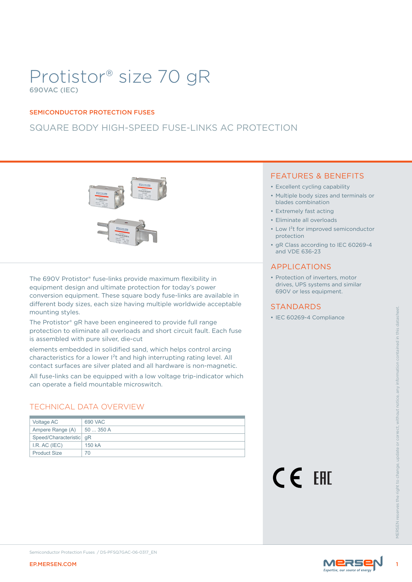# Protistor® size 70 gR 690VAC (IEC)

### SEMICONDUCTOR PROTECTION FUSES

# SQUARE BODY HIGH-SPEED FUSE-LINKS AC PROTECTION



The 690V Protistor® fuse-links provide maximum flexibility in equipment design and ultimate protection for today's power conversion equipment. These square body fuse-links are available in different body sizes, each size having multiple worldwide acceptable mounting styles.

## TECHNICAL DATA OVERVIEW

| mounting styles.          |                                                                                                                                                                                                                                  | 3 I ANUARUS              |         |
|---------------------------|----------------------------------------------------------------------------------------------------------------------------------------------------------------------------------------------------------------------------------|--------------------------|---------|
|                           | The Protistor® gR have been engineered to provide full range<br>protection to eliminate all overloads and short circuit fault. Each fuse<br>is assembled with pure silver, die-cut                                               | • IEC 60269-4 Compliance |         |
|                           | elements embedded in solidified sand, which helps control arcing<br>characteristics for a lower I <sup>2</sup> t and high interrupting rating level. All<br>contact surfaces are silver plated and all hardware is non-magnetic. |                          |         |
|                           | All fuse-links can be equipped with a low voltage trip-indicator which<br>can operate a field mountable microswitch.                                                                                                             |                          |         |
|                           | <b>TECHNICAL DATA OVERVIEW</b>                                                                                                                                                                                                   |                          |         |
| Voltage AC                | 690 VAC                                                                                                                                                                                                                          |                          |         |
| Ampere Range (A)          | 50  350 A                                                                                                                                                                                                                        |                          |         |
| Speed/Characteristic   qR |                                                                                                                                                                                                                                  |                          |         |
| I.R. AC (IEC)             | 150 kA                                                                                                                                                                                                                           |                          |         |
| <b>Product Size</b>       | 70                                                                                                                                                                                                                               |                          |         |
|                           |                                                                                                                                                                                                                                  | <b>CE EHE</b>            | VIFRSFN |
|                           | Semiconductor Protection Fuses / DS-PFSQ7GAC-06-0317_EN                                                                                                                                                                          | <b>MERSE</b>             |         |
| <b>EP.MERSEN.COM</b>      |                                                                                                                                                                                                                                  |                          |         |

## FEATURES & BENEFITS

- Excellent cycling capability
- Multiple body sizes and terminals or blades combination
- Extremely fast acting
- Eliminate all overloads
- Low I²t for improved semiconductor protection
- gR Class according to IEC 60269-4 and VDE 636-23

## APPLICATIONS

• Protection of inverters, motor drives, UPS systems and similar 690V or less equipment.

## **STANDARDS**



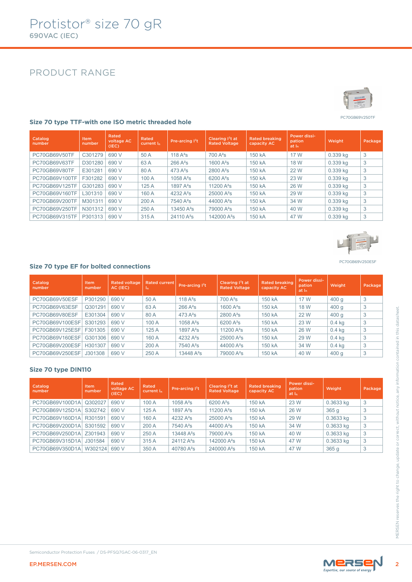# PRODUCT RANGE



PC70GB69V250TF

PC70GB69V250ESF

| Catalog<br>number | <b>Item</b><br>number | Rated<br>voltage AC<br>(IEC) | Rated<br>current I <sub>n</sub> | Pre-arcing <sup>12</sup> t | Clearing I <sup>2</sup> t at<br><b>Rated Voltage</b> | Rated breaking<br>capacity AC | Power dissi-<br>pation<br>at I <sub>n</sub> | Weight   | Package |
|-------------------|-----------------------|------------------------------|---------------------------------|----------------------------|------------------------------------------------------|-------------------------------|---------------------------------------------|----------|---------|
| PC70GB69V50TF     | C301279               | 690 V                        | 50 A                            | 118 $A^2S$                 | $700A^2s$                                            | 150 kA                        | 17 W                                        | 0.339 kg | 3       |
| PC70GB69V63TF     | D301280               | 690 V                        | 63 A                            | $266A^2s$                  | 1600 $A^2S$                                          | 150 kA                        | 18 W                                        | 0.339 kg | 3       |
| PC70GB69V80TF     | E301281               | 690 V                        | 80 A                            | $473A^2s$                  | $2800A^2s$                                           | 150 kA                        | 22 W                                        | 0.339 kg | 3       |
| PC70GB69V100TF    | F301282               | 690 V                        | 100A                            | 1058 $A^2S$                | $6200A^2s$                                           | 150 kA                        | 23 W                                        | 0.339 kg | 3       |
| PC70GB69V125TF    | G301283               | 690 V                        | 125A                            | 1897 $A^2S$                | 11200 $A^2s$                                         | 150 kA                        | 26 W                                        | 0.339 kg | 3       |
| PC70GB69V160TF    | L301310               | 690 V                        | 160 A                           | 4232 $A^2S$                | $25000 A^2s$                                         | 150 kA                        | 29 W                                        | 0.339 kg | 3       |
| PC70GB69V200TF    | M301311               | 690 V                        | 200A                            | $7540A^2s$                 | 44000 $A^2$ s                                        | 150 kA                        | 34 W                                        | 0.339 kg | 3       |
| PC70GB69V250TF    | N301312               | 690 V                        | 250 A                           | 13450 $A^2S$               | 79000 A <sup>2</sup> s                               | 150 kA                        | 40 W                                        | 0.339 kg | 3       |
| PC70GB69V315TF    | P301313               | 690 V                        | 315 A                           | 24110 A <sup>2</sup> s     | 142000 A <sup>2</sup> s                              | 150 kA                        | 47 W                                        | 0.339 kg | 3       |

#### **Size 70 type TTF-with one ISO metric threaded hole**



| Catalog<br>number | <b>Item</b><br>number | <b>Rated voltage</b><br>AC (IEC) | <b>Rated current</b><br>ln. | Pre-arcing l <sup>2</sup> t | Clearing $I2t$ at<br><b>Rated Voltage</b> | <b>Rated breaking</b><br>capacity AC | Power dissi-<br>pation<br>at I <sub>n</sub> | Weight   | Package |
|-------------------|-----------------------|----------------------------------|-----------------------------|-----------------------------|-------------------------------------------|--------------------------------------|---------------------------------------------|----------|---------|
| PC70GB69V50ESF    | P301290               | 690 V                            | 50 A                        | 118 $A^2S$                  | $700A^2s$                                 | 150 kA                               | 17 W                                        | 400q     | 3       |
| PC70GB69V63ESF    | Q301291               | 690 V                            | 63 A                        | $266A^2s$                   | 1600 $A^2S$                               | 150 kA                               | 18 W                                        | 400q     | 3       |
| PC70GB69V80ESF    | E301304               | 690 V                            | 80 A                        | 473 $A^2S$                  | $2800 A^2s$                               | 150 kA                               | 22 W                                        | 400q     | 3       |
| PC70GB69V100ESF   | S301293               | 690 V                            | 100 A                       | 1058 $A^2S$                 | $6200 A^2s$                               | 150 kA                               | 23 W                                        | $0.4$ kg | 3       |
| PC70GB69V125ESF   | F301305               | 690 V                            | 125A                        | 1897 $A^2S$                 | 11200 $A^2S$                              | 150 kA                               | 26 W                                        | $0.4$ kg | 3       |
| PC70GB69V160ESF   | G301306               | 690 V                            | 160 A                       | 4232 $A^2S$                 | 25000 A <sup>2</sup> s                    | 150 kA                               | 29 W                                        | $0.4$ kg | 3       |
| PC70GB69V200ESF   | H301307               | 690 V                            | 200 A                       | $7540A^2s$                  | 44000 A <sup>2</sup> s                    | 150 kA                               | 34 W                                        | $0.4$ kg | 3       |
| PC70GB69V250ESF   | J301308               | 690 V                            | 250 A                       | 13448 $A^2S$                | 79000 A <sup>2</sup> s                    | 150 kA                               | 40 W                                        | 400q     | 3       |

### **Size 70 type DIN110**

| PU/UGB09V03ESF                                          | Q301291        | <b>PAN A</b>                 | 63 A                            | ZOO A <sup>*</sup> S        | 1000 A <sup>-</sup> S                                | 150 KA                               | <b>18 VV</b>                                | 400 g            | J.      |
|---------------------------------------------------------|----------------|------------------------------|---------------------------------|-----------------------------|------------------------------------------------------|--------------------------------------|---------------------------------------------|------------------|---------|
| PC70GB69V80ESF                                          | E301304        | 690 V                        | 80 A                            | $473A^2s$                   | 2800 A <sup>2</sup> s                                | 150 kA                               | 22 W                                        | 400 <sub>g</sub> | 3       |
| PC70GB69V100ESF                                         | S301293        | 690 V                        | 100 A                           | 1058 A <sup>2</sup> s       | 6200 A <sup>2</sup> s                                | 150 kA                               | 23 W                                        | $0.4$ kg         | 3       |
| PC70GB69V125ESF   F301305                               |                | 690 V                        | 125A                            | 1897 $A^2S$                 | 11200 A <sup>2</sup> s                               | 150 kA                               | 26 W                                        | $0.4$ kg         | 3       |
| PC70GB69V160ESF                                         | G301306        | 690 V                        | 160 A                           | 4232 A <sup>2</sup> s       | 25000 A <sup>2</sup> s                               | 150 kA                               | 29 W                                        | $0.4$ kg         | 3       |
| PC70GB69V200ESF   H301307                               |                | 690 V                        | 200 A                           | 7540 A <sup>2</sup> s       | 44000 A <sup>2</sup> s                               | 150 kA                               | 34 W                                        | $0.4$ kg         | 3       |
| PC70GB69V250ESF                                         | J301308        | 690 V                        | 250 A                           | 13448 A <sup>2</sup> s      | 79000 A <sup>2</sup> s                               | 150 kA                               | 40 W                                        | 400q             | 3       |
| Size 70 type DIN110<br>Catalog<br>number                | Item<br>number | Rated<br>voltage AC<br>(IEC) | Rated<br>current I <sub>n</sub> | Pre-arcing l <sup>2</sup> t | Clearing I <sup>2</sup> t at<br><b>Rated Voltage</b> | <b>Rated breaking</b><br>capacity AC | Power dissi-<br>pation<br>at I <sub>n</sub> | Weight           | Package |
| PC70GB69V100D1A                                         | Q302027        | 690 V                        | 100 A                           | 1058 A <sup>2</sup> s       | 6200 A <sup>2</sup> s                                | 150 kA                               | 23 W                                        | 0.3633 kg        | 3       |
| PC70GB69V125D1A                                         | S302742        | 690 V                        | 125A                            | 1897 A <sup>2</sup> s       | 11200 A <sup>2</sup> s                               | 150 kA                               | 26 W                                        | 365 <sub>g</sub> | 3       |
| PC70GB69V160D1A R301591                                 |                | 690 V                        | 160 A                           | 4232 $A^2S$                 | 25000 A <sup>2</sup> s                               | 150 kA                               | 29 W                                        | 0.3633 kg        | 3       |
| PC70GB69V200D1A S301592                                 |                | 690 V                        | 200 A                           | 7540 A <sup>2</sup> s       | 44000 A <sup>2</sup> s                               | 150 kA                               | 34 W                                        | 0.3633 kg        | 3       |
| PC70GB69V250D1A Z301943                                 |                | 690 V                        | 250 A                           | 13448 A <sup>2</sup> s      | 79000 A <sup>2</sup> s                               | 150 kA                               | 40 W                                        | 0.3633 kg        | 3       |
| PC70GB69V315D1A                                         | J301584        | 690 V                        | 315 A                           | 24112 A <sup>2</sup> s      | 142000 A <sup>2</sup> s                              | 150 kA                               | 47 W                                        | 0.3633 kg        | 3       |
| PC70GB69V350D1A W302124                                 |                | 690 V                        | 350 A                           | 40780 A <sup>2</sup> s      | 240000 A <sup>2</sup> s                              | 150 kA                               | 47 W                                        | 365 g            | 3       |
|                                                         |                |                              |                                 |                             |                                                      |                                      |                                             |                  |         |
| Semiconductor Protection Fuses / DS-PFSQ7GAC-06-0317 EN |                |                              |                                 |                             |                                                      |                                      |                                             |                  |         |
| <b>EP.MERSEN.COM</b>                                    | MERSEN         |                              |                                 |                             |                                                      |                                      |                                             |                  |         |

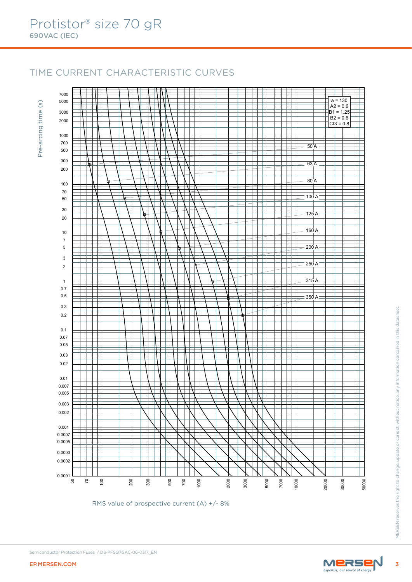# TIME CURRENT CHARACTERISTIC CURVES

 $\circ$ Pre-arcing time (s) Pre-arcing time



RMS value of prospective current (A) +/- 8%

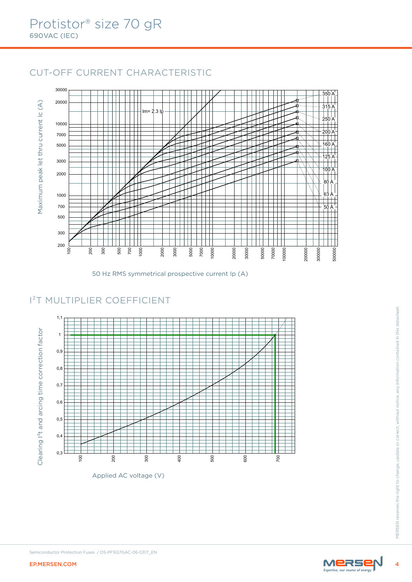# CUT-OFF CURRENT CHARACTERISTIC



<sup>50</sup> Hz RMS symmetrical prospective current Ip (A)

# I²T MULTIPLIER COEFFICIENT



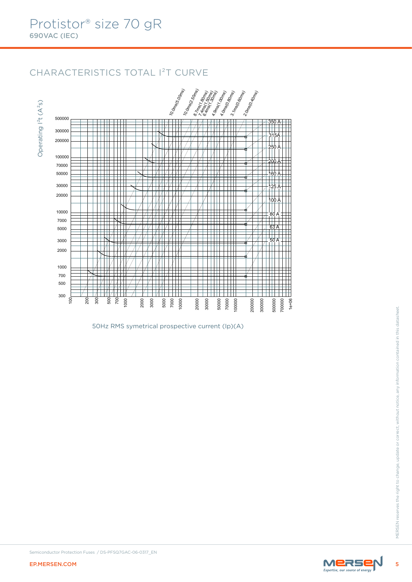# CHARACTERISTICS TOTAL I²T CURVE





50Hz RMS symetrical prospective current (Ip)(A)

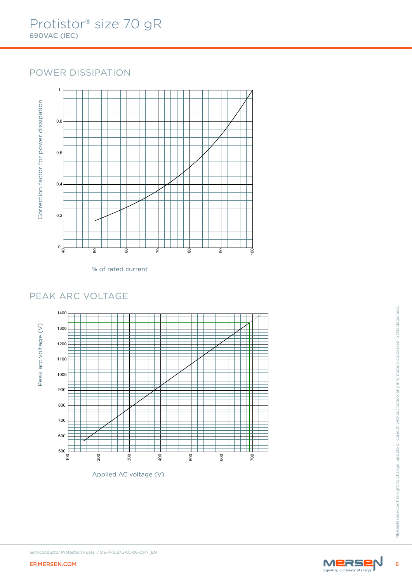# POWER DISSIPATION



% of rated current



Applied AC voltage (V)

 $6\phantom{a}$ 

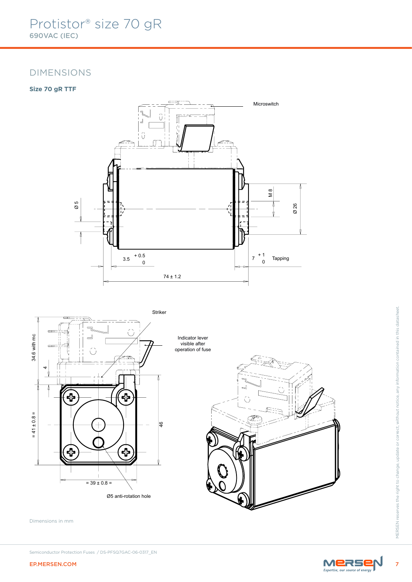## DIMENSIONS

## **Size 70 gR TTF**





Dimensions in mm

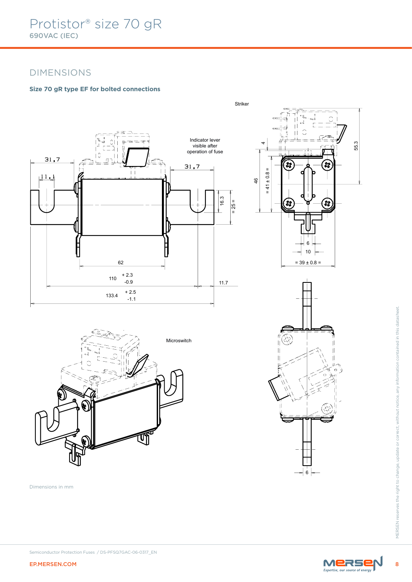# DIMENSIONS

## **Size 70 gR type EF for bolted connections**







EP.MERSEN.COM 8MERSEN.COM 8MERSEN.COM 8MERSEN. Microswitch

Dimensions in mm